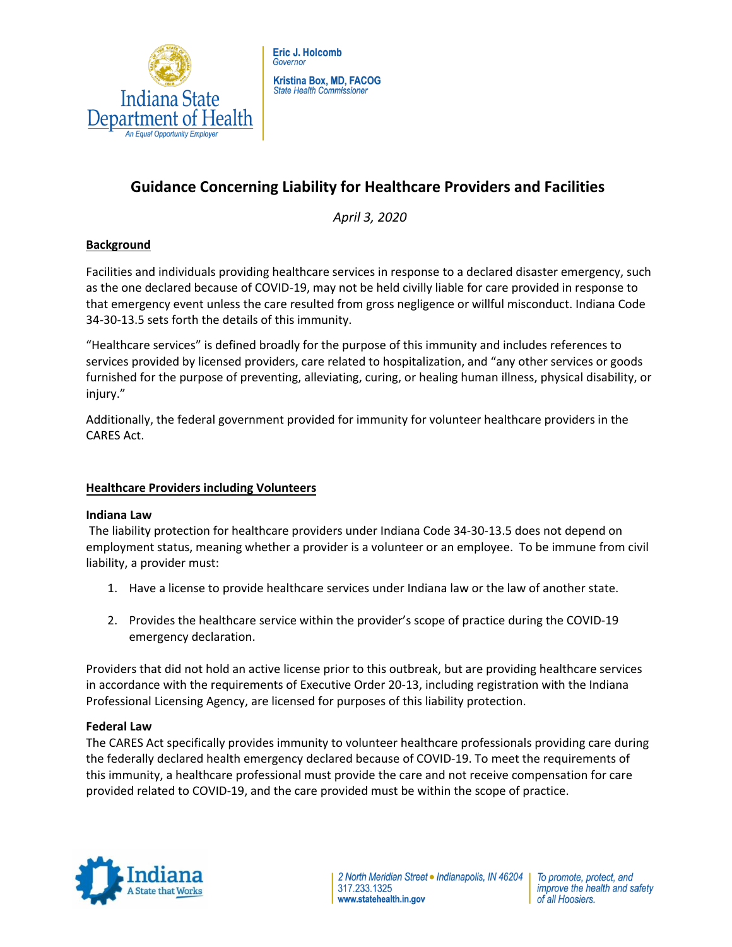

# **Guidance Concerning Liability for Healthcare Providers and Facilities**

*April 3, 2020* 

## **Background**

Facilities and individuals providing healthcare services in response to a declared disaster emergency, such as the one declared because of COVID-19, may not be held civilly liable for care provided in response to that emergency event unless the care resulted from gross negligence or willful misconduct. Indiana Code 34-30-13.5 sets forth the details of this immunity.

"Healthcare services" is defined broadly for the purpose of this immunity and includes references to services provided by licensed providers, care related to hospitalization, and "any other services or goods furnished for the purpose of preventing, alleviating, curing, or healing human illness, physical disability, or injury."

Additionally, the federal government provided for immunity for volunteer healthcare providers in the CARES Act.

### **Healthcare Providers including Volunteers**

### **Indiana Law**

The liability protection for healthcare providers under Indiana Code 34-30-13.5 does not depend on employment status, meaning whether a provider is a volunteer or an employee. To be immune from civil liability, a provider must:

- 1. Have a license to provide healthcare services under Indiana law or the law of another state.
- 2. Provides the healthcare service within the provider's scope of practice during the COVID-19 emergency declaration.

Providers that did not hold an active license prior to this outbreak, but are providing healthcare services in accordance with the requirements of Executive Order 20-13, including registration with the Indiana Professional Licensing Agency, are licensed for purposes of this liability protection.

### **Federal Law**

The CARES Act specifically provides immunity to volunteer healthcare professionals providing care during the federally declared health emergency declared because of COVID-19. To meet the requirements of this immunity, a healthcare professional must provide the care and not receive compensation for care provided related to COVID-19, and the care provided must be within the scope of practice.



To promote, protect, and improve the health and safety of all Hoosiers.